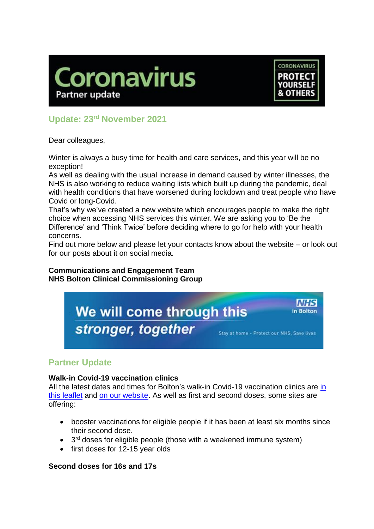



# **Update: 23rd November 2021**

Dear colleagues,

Winter is always a busy time for health and care services, and this year will be no exception!

As well as dealing with the usual increase in demand caused by winter illnesses, the NHS is also working to reduce waiting lists which built up during the pandemic, deal with health conditions that have worsened during lockdown and treat people who have Covid or long-Covid.

That's why we've created a new website which encourages people to make the right choice when accessing NHS services this winter. We are asking you to 'Be the Difference' and 'Think Twice' before deciding where to go for help with your health concerns.

Find out more below and please let your contacts know about the website – or look out for our posts about it on social media.

### **Communications and Engagement Team NHS Bolton Clinical Commissioning Group**



# **Partner Update**

# **Walk-in Covid-19 vaccination clinics**

All the latest dates and times for Bolton's walk-in Covid-19 vaccination clinics are in [this leaflet](https://www.boltonccg.nhs.uk/media/7555/vaccine-site-list_fri_19-nov_.pdf) and [on our website.](https://www.boltonccg.nhs.uk/patient-zone/coronavirus) As well as first and second doses, some sites are offering:

- booster vaccinations for eligible people if it has been at least six months since their second dose.
- $\bullet$  3<sup>rd</sup> doses for eligible people (those with a weakened immune system)
- first doses for 12-15 year olds

# **Second doses for 16s and 17s**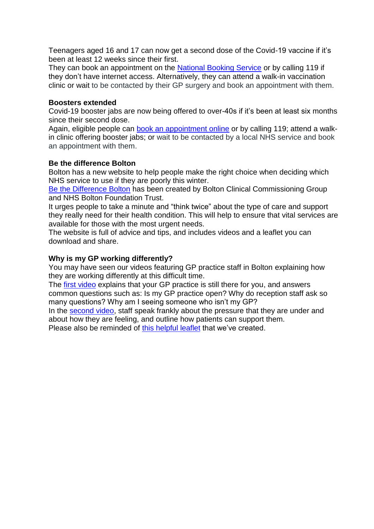Teenagers aged 16 and 17 can now get a second dose of the Covid-19 vaccine if it's been at least 12 weeks since their first.

They can book an appointment on the [National Booking Service](https://www.nhs.uk/conditions/coronavirus-covid-19/coronavirus-vaccination/book-coronavirus-vaccination/book-or-manage-a-1st-or-2nd-dose-of-the-coronavirus-covid-19-vaccination/) or by calling 119 if they don't have internet access. Alternatively, they can attend a walk-in vaccination clinic or wait to be contacted by their GP surgery and book an appointment with them.

#### **Boosters extended**

Covid-19 booster jabs are now being offered to over-40s if it's been at least six months since their second dose.

Again, eligible people can [book an appointment online](https://www.nhs.uk/conditions/coronavirus-covid-19/coronavirus-vaccination/book-coronavirus-vaccination/book-or-manage-a-booster-dose-of-the-coronavirus-covid-19-vaccine/) or by calling 119; attend a walkin clinic offering booster jabs; or wait to be contacted by a local NHS service and book an appointment with them.

### **Be the difference Bolton**

Bolton has a new website to help people make the right choice when deciding which NHS service to use if they are poorly this winter.

[Be the Difference Bolton](http://www.bethedifferencebolton.info/) has been created by Bolton Clinical Commissioning Group and NHS Bolton Foundation Trust.

It urges people to take a minute and "think twice" about the type of care and support they really need for their health condition. This will help to ensure that vital services are available for those with the most urgent needs.

The website is full of advice and tips, and includes videos and a leaflet you can download and share.

## **Why is my GP working differently?**

You may have seen our videos featuring GP practice staff in Bolton explaining how they are working differently at this difficult time.

The [first video](https://youtu.be/4HWE6i2_Tyk) explains that your GP practice is still there for you, and answers common questions such as: Is my GP practice open? Why do reception staff ask so many questions? Why am I seeing someone who isn't my GP?

In the [second video,](https://youtu.be/2qijQ9HLwkA) staff speak frankly about the pressure that they are under and about how they are feeling, and outline how patients can support them. Please also be reminded of this [helpful](https://www.boltonccg.nhs.uk/media/7427/gp_poster.jpg) leaflet that we've created.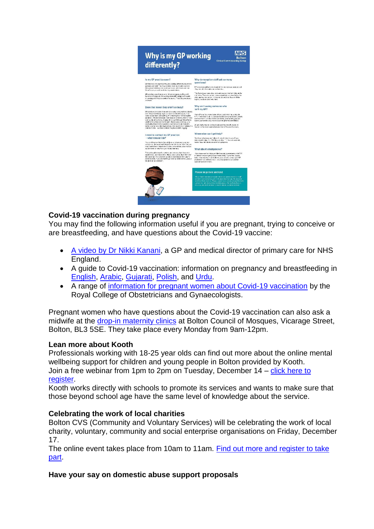

# **Covid-19 vaccination during pregnancy**

You may find the following information useful if you are pregnant, trying to conceive or are breastfeeding, and have questions about the Covid-19 vaccine:

- [A video by Dr Nikki Kanani,](https://youtu.be/UYsXks9wjdw) a GP and medical director of primary care for NHS England.
- A guide to Covid-19 vaccination: information on pregnancy and breastfeeding in [English,](https://www.boltonccg.nhs.uk/media/7585/pregancy-19_vaccination_info_english.pdf) [Arabic,](https://www.boltonccg.nhs.uk/media/7584/pregnancy-arabic.pdf) [Gujarati,](https://www.boltonccg.nhs.uk/media/7581/pregnancy-vaccination_guide_gujarati.pdf) [Polish,](https://www.boltonccg.nhs.uk/media/7582/pregnancy-vaccination_guide_polish.pdf) and [Urdu.](https://www.boltonccg.nhs.uk/media/7583/pregnancy-vaccination_guide_urdu.pdf)
- A range of [information for pregnant women about Covid-19 vaccination](https://www.rcog.org.uk/en/guidelines-research-services/coronavirus-covid-19-pregnancy-and-womens-health/covid-19-vaccines-and-pregnancy/) by the Royal College of Obstetricians and Gynaecologists.

Pregnant women who have questions about the Covid-19 vaccination can also ask a midwife at the [drop-in maternity clinics](https://www.boltonccg.nhs.uk/media/7586/a1-nhs-bolton-foundation-trust-questions-about-your-pregnancy-copy.jpg) at Bolton Council of Mosques, Vicarage Street, Bolton, BL3 5SE. They take place every Monday from 9am-12pm.

### **Lean more about Kooth**

Professionals working with 18-25 year olds can find out more about the online mental wellbeing support for children and young people in Bolton provided by Kooth. Join a free webinar from 1pm to 2pm on Tuesday, December 14 – click here to [register.](https://www.eventbrite.co.uk/e/208043613047)

Kooth works directly with schools to promote its services and wants to make sure that those beyond school age have the same level of knowledge about the service.

#### **Celebrating the work of local charities**

Bolton CVS (Community and Voluntary Services) will be celebrating the work of local charity, voluntary, community and social enterprise organisations on Friday, December 17.

The online event takes place from 10am to 11am. [Find out more and register to take](https://www.boltoncvs.org.uk/civicrm/event/info?id=1109&reset=1)  [part.](https://www.boltoncvs.org.uk/civicrm/event/info?id=1109&reset=1)

#### **Have your say on domestic abuse support proposals**